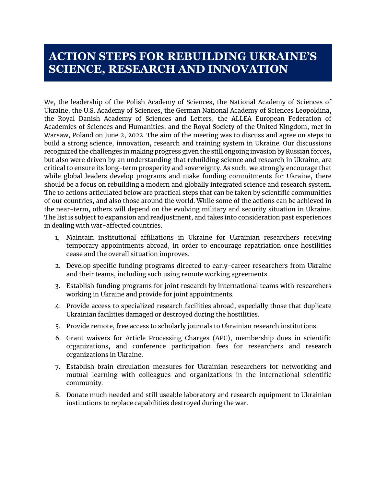## **ACTION STEPS FOR REBUILDING UKRAINE'S SCIENCE, RESEARCH AND INNOVATION**

We, the leadership of the Polish Academy of Sciences, the National Academy of Sciences of Ukraine, the U.S. Academy of Sciences, the German National Academy of Sciences Leopoldina, the Royal Danish Academy of Sciences and Letters, the ALLEA European Federation of Academies of Sciences and Humanities, and the Royal Society of the United Kingdom, met in Warsaw, Poland on June 2, 2022. The aim of the meeting was to discuss and agree on steps to build a strong science, innovation, research and training system in Ukraine. Our discussions recognized the challenges in making progress given the still ongoing invasion by Russian forces, but also were driven by an understanding that rebuilding science and research in Ukraine, are critical to ensure its long-term prosperity and sovereignty. As such, we strongly encourage that while global leaders develop programs and make funding commitments for Ukraine, there should be a focus on rebuilding a modern and globally integrated science and research system. The 10 actions articulated below are practical steps that can be taken by scientific communities of our countries, and also those around the world. While some of the actions can be achieved in the near-term, others will depend on the evolving military and security situation in Ukraine. The list is subject to expansion and readjustment, and takes into consideration past experiences in dealing with war-affected countries.

- 1. Maintain institutional affiliations in Ukraine for Ukrainian researchers receiving temporary appointments abroad, in order to encourage repatriation once hostilities cease and the overall situation improves.
- 2. Develop specific funding programs directed to early-career researchers from Ukraine and their teams, including such using remote working agreements.
- 3. Establish funding programs for joint research by international teams with researchers working in Ukraine and provide for joint appointments.
- 4. Provide access to specialized research facilities abroad, especially those that duplicate Ukrainian facilities damaged or destroyed during the hostilities.
- 5. Provide remote, free access to scholarly journals to Ukrainian research institutions.
- 6. Grant waivers for Article Processing Charges (APC), membership dues in scientific organizations, and conference participation fees for researchers and research organizations in Ukraine.
- 7. Establish brain circulation measures for Ukrainian researchers for networking and mutual learning with colleagues and organizations in the international scientific community.
- 8. Donate much needed and still useable laboratory and research equipment to Ukrainian institutions to replace capabilities destroyed during the war.